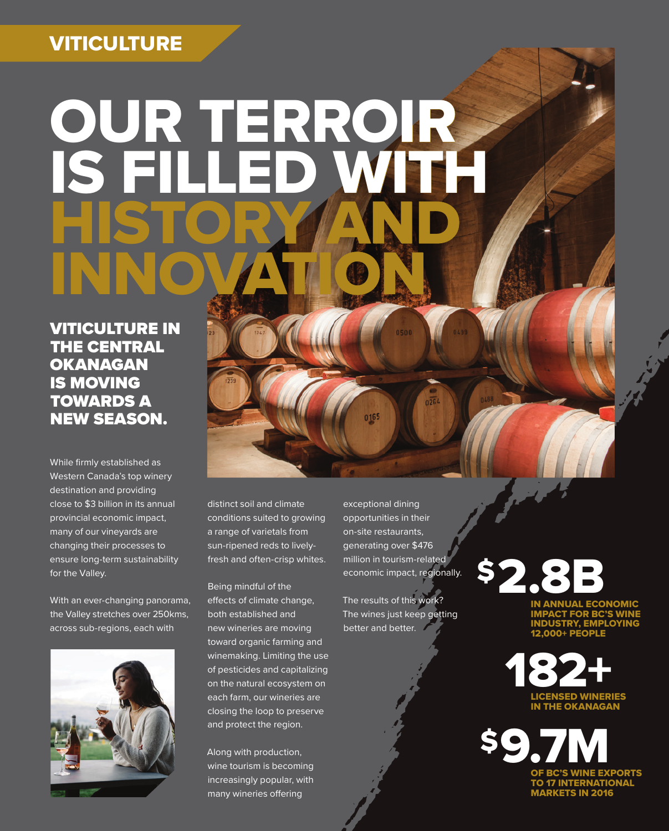### **VITICULTURE**

# OUR TERROIR IS FILLED WITH HISTORY AND INNOVATION

 VITICULTURE IN THE CENTRAL **OKANAGAN** IS MOVING TOWARDS A NEW SEASON.

While firmly established as Western Canada's top winery destination and providing close to \$3 billion in its annual provincial economic impact, many of our vineyards are changing their processes to ensure long-term sustainability for the Valley.

With an ever-changing panorama, the Valley stretches over 250kms, across sub-regions, each with



distinct soil and climate conditions suited to growing a range of varietals from sun-ripened reds to livelyfresh and often-crisp whites.

Being mindful of the effects of climate change, both established and new wineries are moving toward organic farming and winemaking. Limiting the use of pesticides and capitalizing on the natural ecosystem on each farm, our wineries are closing the loop to preserve and protect the region.

Along with production, wine tourism is becoming increasingly popular, with many wineries offering

exceptional dining opportunities in their on-site restaurants, generating over \$476 million in tourism-related economic impact, regionally.

500

0165

 $0.264$ 

The results of this work? The wines just keep getting better and better.

\$2.8B

IN ANNUAL ECONOMIC IMPACT FOR BC'S WINE INDUSTRY, EMPLOYING 12,000+ PEOPLE



BC'S WINE EXPORTS TO 17 INTERNATIONAL MARKETS IN 2016 **SQ**